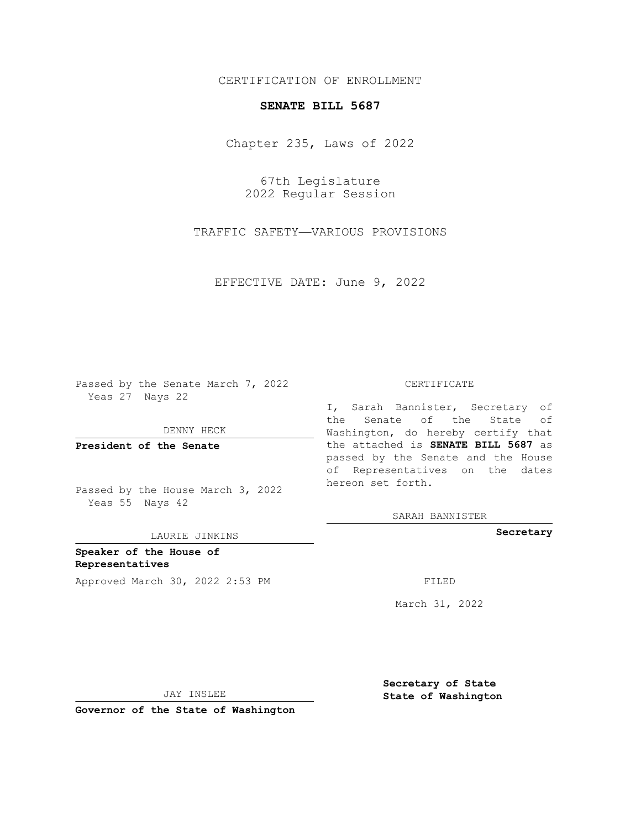### CERTIFICATION OF ENROLLMENT

### **SENATE BILL 5687**

Chapter 235, Laws of 2022

67th Legislature 2022 Regular Session

TRAFFIC SAFETY—VARIOUS PROVISIONS

EFFECTIVE DATE: June 9, 2022

Passed by the Senate March 7, 2022 Yeas 27 Nays 22

DENNY HECK

**President of the Senate**

Passed by the House March 3, 2022 Yeas 55 Nays 42

LAURIE JINKINS

**Speaker of the House of Representatives** Approved March 30, 2022 2:53 PM FILED

#### CERTIFICATE

I, Sarah Bannister, Secretary of the Senate of the State of Washington, do hereby certify that the attached is **SENATE BILL 5687** as passed by the Senate and the House of Representatives on the dates hereon set forth.

SARAH BANNISTER

**Secretary**

March 31, 2022

**Secretary of State**

JAY INSLEE

 **State of Washington**

**Governor of the State of Washington**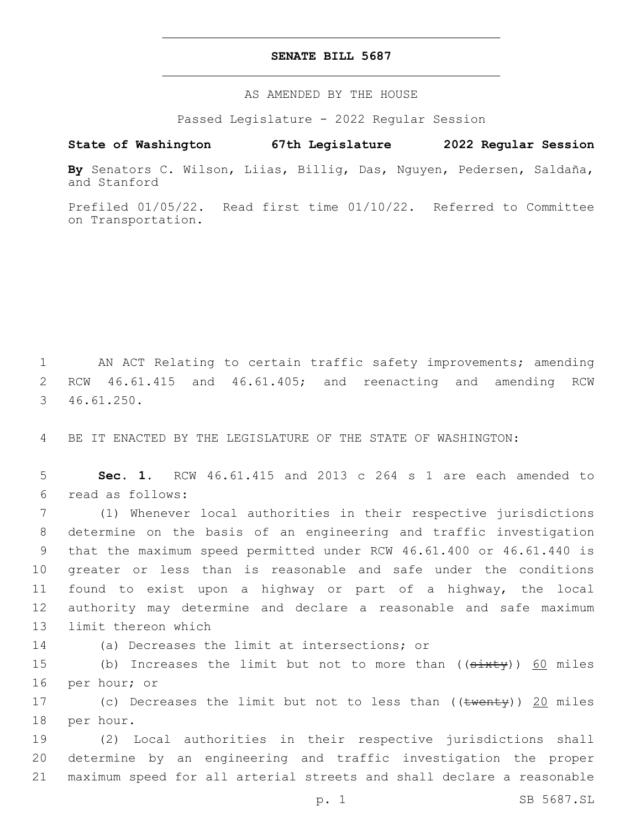#### **SENATE BILL 5687**

AS AMENDED BY THE HOUSE

Passed Legislature - 2022 Regular Session

# **State of Washington 67th Legislature 2022 Regular Session**

**By** Senators C. Wilson, Liias, Billig, Das, Nguyen, Pedersen, Saldaña, and Stanford

Prefiled 01/05/22. Read first time 01/10/22. Referred to Committee on Transportation.

1 AN ACT Relating to certain traffic safety improvements; amending 2 RCW 46.61.415 and 46.61.405; and reenacting and amending RCW 46.61.250.3

4 BE IT ENACTED BY THE LEGISLATURE OF THE STATE OF WASHINGTON:

5 **Sec. 1.** RCW 46.61.415 and 2013 c 264 s 1 are each amended to read as follows:6

 (1) Whenever local authorities in their respective jurisdictions determine on the basis of an engineering and traffic investigation that the maximum speed permitted under RCW 46.61.400 or 46.61.440 is greater or less than is reasonable and safe under the conditions found to exist upon a highway or part of a highway, the local authority may determine and declare a reasonable and safe maximum 13 limit thereon which

14 (a) Decreases the limit at intersections; or

15 (b) Increases the limit but not to more than ((sixty)) 60 miles 16 per hour; or

17 (c) Decreases the limit but not to less than ((twenty)) 20 miles 18 per hour.

19 (2) Local authorities in their respective jurisdictions shall 20 determine by an engineering and traffic investigation the proper 21 maximum speed for all arterial streets and shall declare a reasonable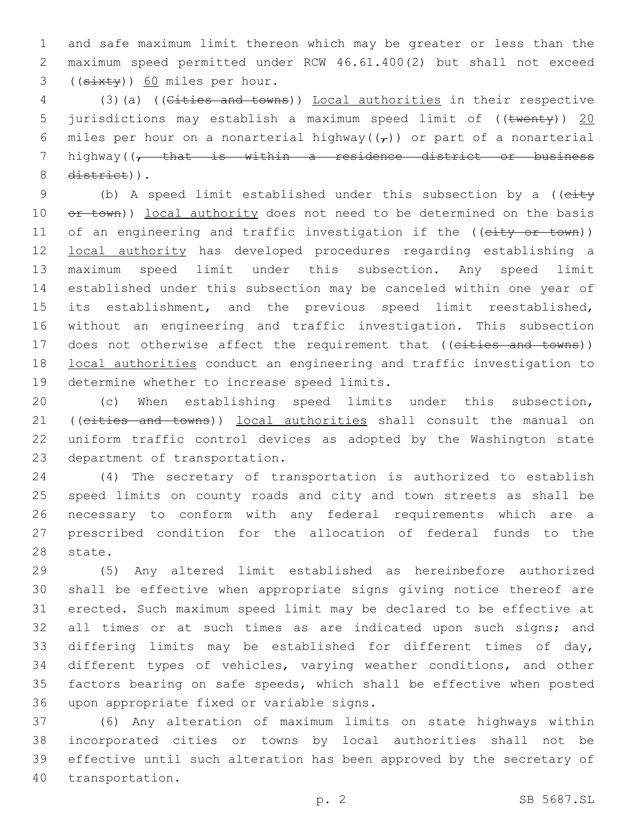and safe maximum limit thereon which may be greater or less than the maximum speed permitted under RCW 46.61.400(2) but shall not exceed (( $\frac{3x+y}{50}$  miles per hour.

 (3)(a) ((Cities and towns)) Local authorities in their respective 5 jurisdictions may establish a maximum speed limit of ((twenty)) 20 6 miles per hour on a nonarterial highway( $(\tau)$ ) or part of a nonarterial highway((, that is within a residence district or business 8 district)).

9 (b) A speed limit established under this subsection by a ((eity 10 or town)) local authority does not need to be determined on the basis 11 of an engineering and traffic investigation if the ((city or town)) local authority has developed procedures regarding establishing a maximum speed limit under this subsection. Any speed limit established under this subsection may be canceled within one year of its establishment, and the previous speed limit reestablished, without an engineering and traffic investigation. This subsection 17 does not otherwise affect the requirement that ((eities and towns)) local authorities conduct an engineering and traffic investigation to 19 determine whether to increase speed limits.

 (c) When establishing speed limits under this subsection, 21 ((cities and towns)) local authorities shall consult the manual on uniform traffic control devices as adopted by the Washington state 23 department of transportation.

 (4) The secretary of transportation is authorized to establish speed limits on county roads and city and town streets as shall be necessary to conform with any federal requirements which are a prescribed condition for the allocation of federal funds to the 28 state.

 (5) Any altered limit established as hereinbefore authorized shall be effective when appropriate signs giving notice thereof are erected. Such maximum speed limit may be declared to be effective at 32 all times or at such times as are indicated upon such signs; and differing limits may be established for different times of day, different types of vehicles, varying weather conditions, and other factors bearing on safe speeds, which shall be effective when posted 36 upon appropriate fixed or variable signs.

 (6) Any alteration of maximum limits on state highways within incorporated cities or towns by local authorities shall not be effective until such alteration has been approved by the secretary of 40 transportation.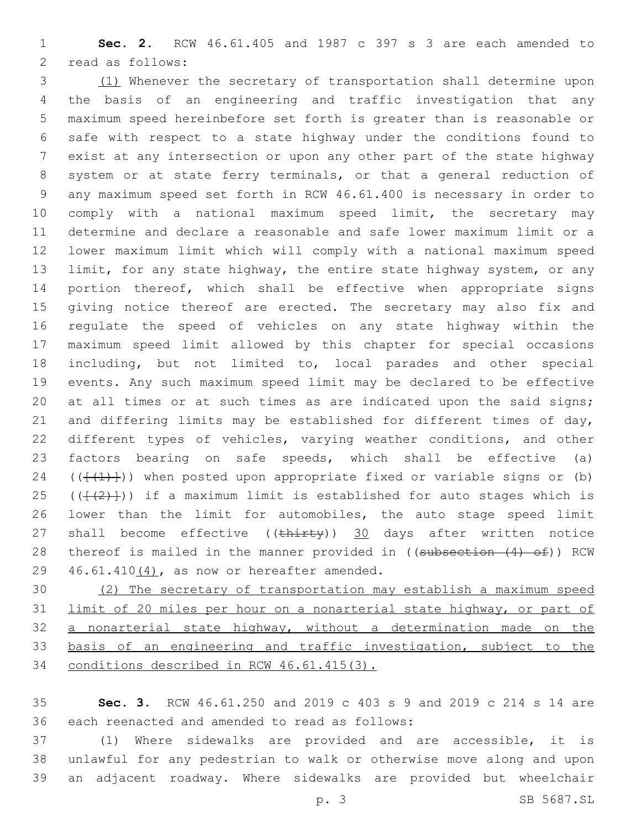**Sec. 2.** RCW 46.61.405 and 1987 c 397 s 3 are each amended to 2 read as follows:

 (1) Whenever the secretary of transportation shall determine upon the basis of an engineering and traffic investigation that any maximum speed hereinbefore set forth is greater than is reasonable or safe with respect to a state highway under the conditions found to exist at any intersection or upon any other part of the state highway system or at state ferry terminals, or that a general reduction of any maximum speed set forth in RCW 46.61.400 is necessary in order to comply with a national maximum speed limit, the secretary may determine and declare a reasonable and safe lower maximum limit or a lower maximum limit which will comply with a national maximum speed limit, for any state highway, the entire state highway system, or any portion thereof, which shall be effective when appropriate signs 15 giving notice thereof are erected. The secretary may also fix and regulate the speed of vehicles on any state highway within the maximum speed limit allowed by this chapter for special occasions including, but not limited to, local parades and other special events. Any such maximum speed limit may be declared to be effective 20 at all times or at such times as are indicated upon the said signs; 21 and differing limits may be established for different times of day, different types of vehicles, varying weather conditions, and other factors bearing on safe speeds, which shall be effective (a) 24 ( $(\{\{\{\}\})$ ) when posted upon appropriate fixed or variable signs or (b) 25 ( $(\{\{\{2\}\})$ ) if a maximum limit is established for auto stages which is lower than the limit for automobiles, the auto stage speed limit 27 shall become effective ((thirty)) 30 days after written notice 28 thereof is mailed in the manner provided in ((subsection (4) of)) RCW 46.61.410 $(4)$ , as now or hereafter amended.

 (2) The secretary of transportation may establish a maximum speed limit of 20 miles per hour on a nonarterial state highway, or part of a nonarterial state highway, without a determination made on the basis of an engineering and traffic investigation, subject to the conditions described in RCW 46.61.415(3).

 **Sec. 3.** RCW 46.61.250 and 2019 c 403 s 9 and 2019 c 214 s 14 are 36 each reenacted and amended to read as follows:

 (1) Where sidewalks are provided and are accessible, it is unlawful for any pedestrian to walk or otherwise move along and upon an adjacent roadway. Where sidewalks are provided but wheelchair